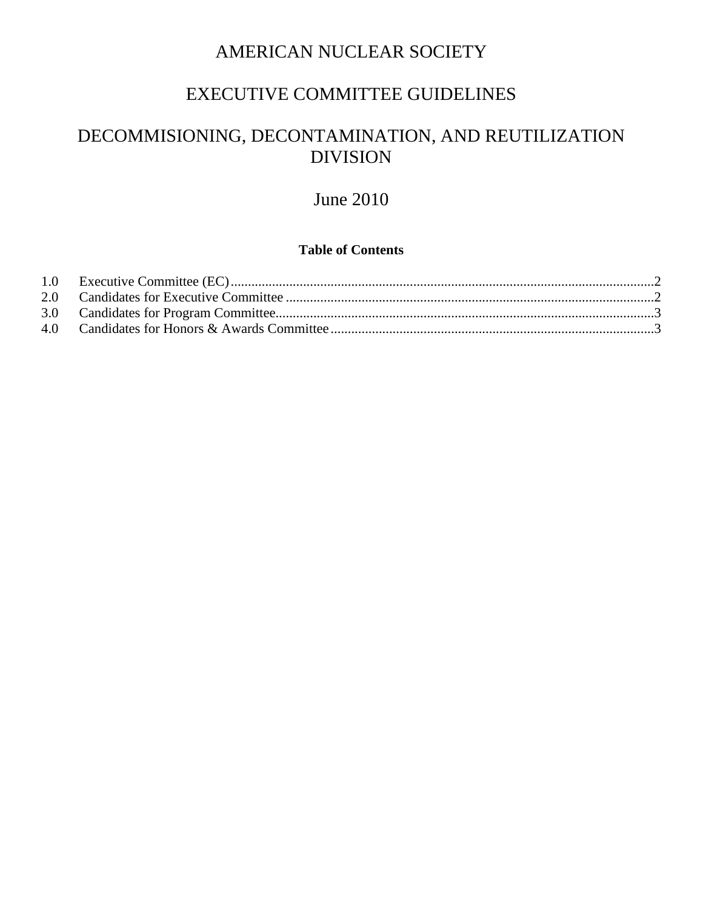## AMERICAN NUCLEAR SOCIETY

## EXECUTIVE COMMITTEE GUIDELINES

# DECOMMISIONING, DECONTAMINATION, AND REUTILIZATION DIVISION

# June 2010

### **Table of Contents**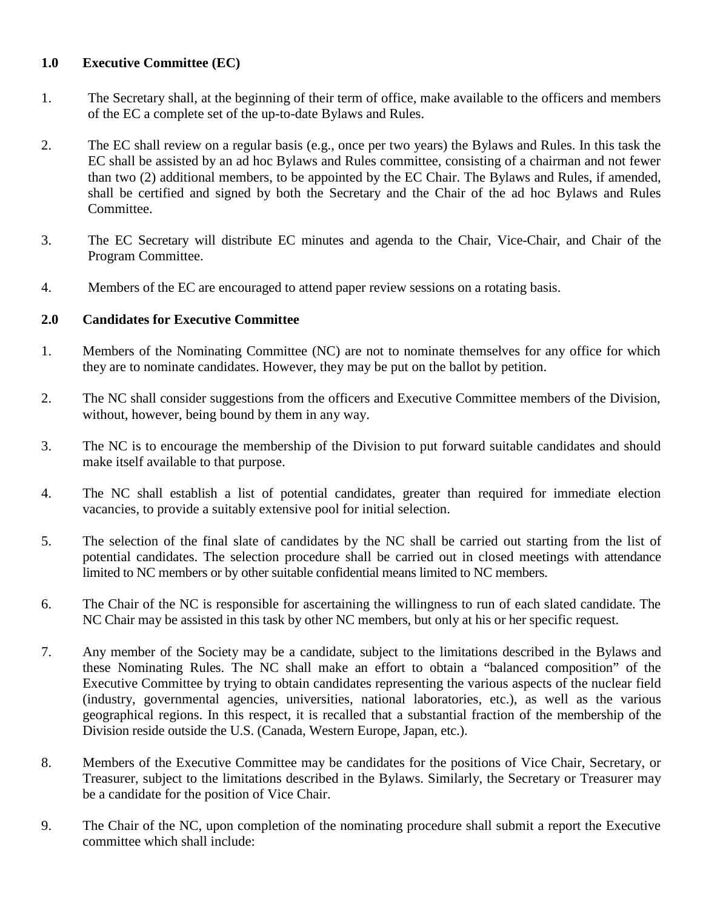### <span id="page-1-0"></span>**1.0 Executive Committee (EC)**

- 1. The Secretary shall, at the beginning of their term of office, make available to the officers and members of the EC a complete set of the up-to-date Bylaws and Rules.
- 2. The EC shall review on a regular basis (e.g., once per two years) the Bylaws and Rules. In this task the EC shall be assisted by an ad hoc Bylaws and Rules committee, consisting of a chairman and not fewer than two (2) additional members, to be appointed by the EC Chair. The Bylaws and Rules, if amended, shall be certified and signed by both the Secretary and the Chair of the ad hoc Bylaws and Rules Committee.
- 3. The EC Secretary will distribute EC minutes and agenda to the Chair, Vice-Chair, and Chair of the Program Committee.
- 4. Members of the EC are encouraged to attend paper review sessions on a rotating basis.

### <span id="page-1-1"></span>**2.0 Candidates for Executive Committee**

- 1. Members of the Nominating Committee (NC) are not to nominate themselves for any office for which they are to nominate candidates. However, they may be put on the ballot by petition.
- 2. The NC shall consider suggestions from the officers and Executive Committee members of the Division, without, however, being bound by them in any way.
- 3. The NC is to encourage the membership of the Division to put forward suitable candidates and should make itself available to that purpose.
- 4. The NC shall establish a list of potential candidates, greater than required for immediate election vacancies, to provide a suitably extensive pool for initial selection.
- 5. The selection of the final slate of candidates by the NC shall be carried out starting from the list of potential candidates. The selection procedure shall be carried out in closed meetings with attendance limited to NC members or by other suitable confidential means limited to NC members.
- 6. The Chair of the NC is responsible for ascertaining the willingness to run of each slated candidate. The NC Chair may be assisted in this task by other NC members, but only at his or her specific request.
- 7. Any member of the Society may be a candidate, subject to the limitations described in the Bylaws and these Nominating Rules. The NC shall make an effort to obtain a "balanced composition" of the Executive Committee by trying to obtain candidates representing the various aspects of the nuclear field (industry, governmental agencies, universities, national laboratories, etc.), as well as the various geographical regions. In this respect, it is recalled that a substantial fraction of the membership of the Division reside outside the U.S. (Canada, Western Europe, Japan, etc.).
- 8. Members of the Executive Committee may be candidates for the positions of Vice Chair, Secretary, or Treasurer, subject to the limitations described in the Bylaws. Similarly, the Secretary or Treasurer may be a candidate for the position of Vice Chair.
- 9. The Chair of the NC, upon completion of the nominating procedure shall submit a report the Executive committee which shall include: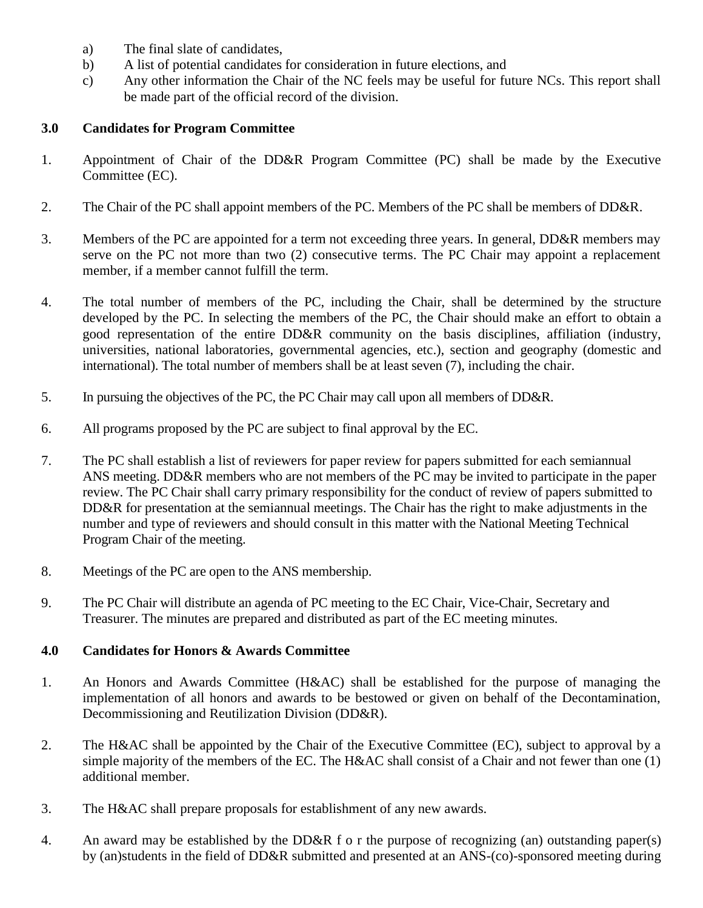- a) The final slate of candidates,
- b) A list of potential candidates for consideration in future elections, and
- c) Any other information the Chair of the NC feels may be useful for future NCs. This report shall be made part of the official record of the division.

#### <span id="page-2-0"></span>**3.0 Candidates for Program Committee**

- 1. Appointment of Chair of the DD&R Program Committee (PC) shall be made by the Executive Committee (EC).
- 2. The Chair of the PC shall appoint members of the PC. Members of the PC shall be members of DD&R.
- 3. Members of the PC are appointed for a term not exceeding three years. In general, DD&R members may serve on the PC not more than two (2) consecutive terms. The PC Chair may appoint a replacement member, if a member cannot fulfill the term.
- 4. The total number of members of the PC, including the Chair, shall be determined by the structure developed by the PC. In selecting the members of the PC, the Chair should make an effort to obtain a good representation of the entire DD&R community on the basis disciplines, affiliation (industry, universities, national laboratories, governmental agencies, etc.), section and geography (domestic and international). The total number of members shall be at least seven (7), including the chair.
- 5. In pursuing the objectives of the PC, the PC Chair may call upon all members of DD&R.
- 6. All programs proposed by the PC are subject to final approval by the EC.
- 7. The PC shall establish a list of reviewers for paper review for papers submitted for each semiannual ANS meeting. DD&R members who are not members of the PC may be invited to participate in the paper review. The PC Chair shall carry primary responsibility for the conduct of review of papers submitted to DD&R for presentation at the semiannual meetings. The Chair has the right to make adjustments in the number and type of reviewers and should consult in this matter with the National Meeting Technical Program Chair of the meeting.
- 8. Meetings of the PC are open to the ANS membership.
- 9. The PC Chair will distribute an agenda of PC meeting to the EC Chair, Vice-Chair, Secretary and Treasurer. The minutes are prepared and distributed as part of the EC meeting minutes.

#### <span id="page-2-1"></span>**4.0 Candidates for Honors & Awards Committee**

- 1. An Honors and Awards Committee (H&AC) shall be established for the purpose of managing the implementation of all honors and awards to be bestowed or given on behalf of the Decontamination, Decommissioning and Reutilization Division (DD&R).
- 2. The H&AC shall be appointed by the Chair of the Executive Committee (EC), subject to approval by a simple majority of the members of the EC. The H&AC shall consist of a Chair and not fewer than one (1) additional member.
- 3. The H&AC shall prepare proposals for establishment of any new awards.
- 4. An award may be established by the DD&R f o r the purpose of recognizing (an) outstanding paper(s) by (an)students in the field of DD&R submitted and presented at an ANS-(co)-sponsored meeting during